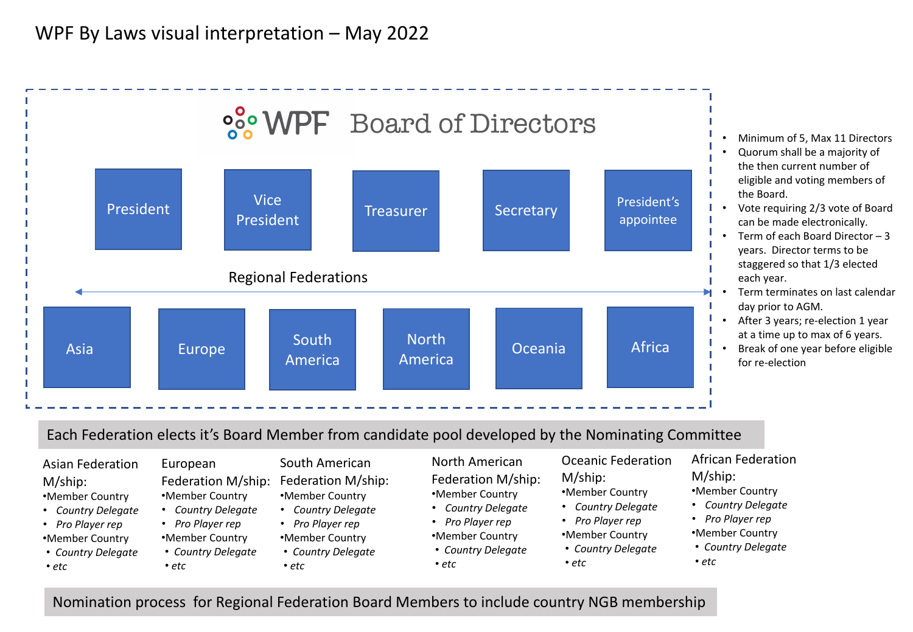## WPF By Laws visual interpretation – May 2022



Nomination process for Regional Federation Board Members to include country NGB membership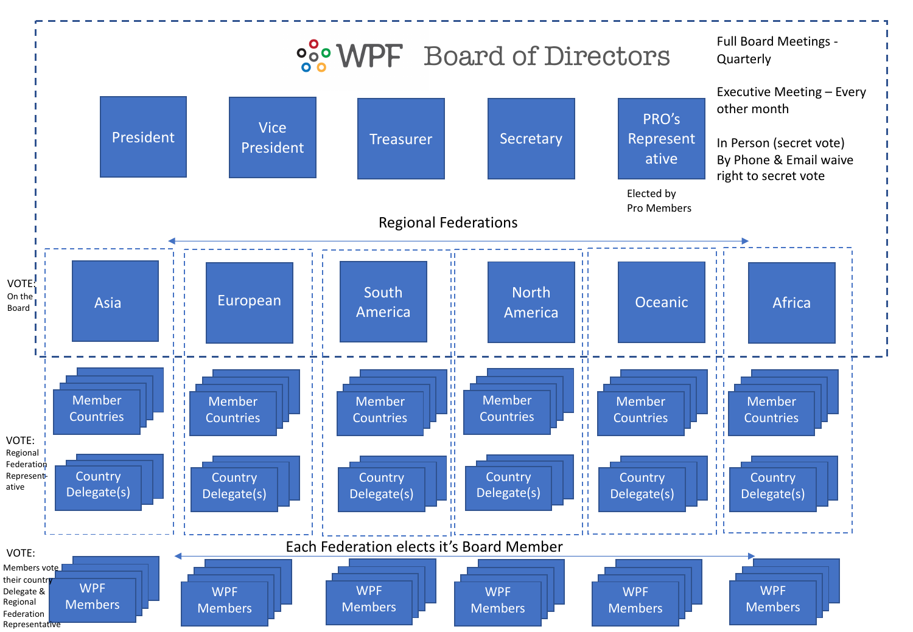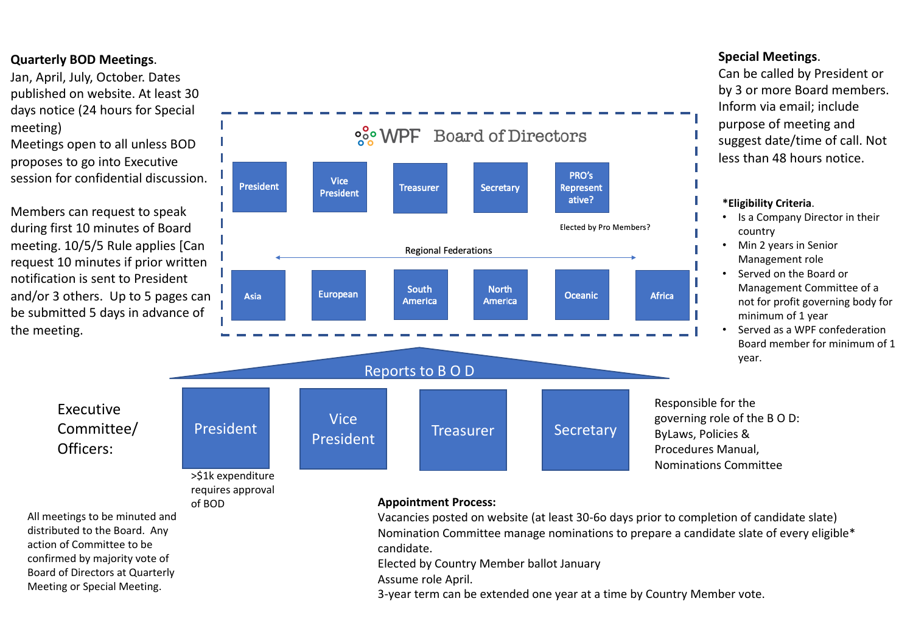## **Quarterly BOD Meetings**.

Jan, April, July, October. Dates published on website. At least 30 days notice (24 hours for Special meeting)

Meetings open to all unless BOD proposes to go into Executive session for confidential discussion.

Members can request to speak during first 10 minutes of Board meeting. 10/5/5 Rule applies [Can request 10 minutes if prior written notification is sent to President and/or 3 others. Up to 5 pages can be submitted 5 days in advance of the meeting.



# **8% WPF** Board of Directors

Responsible for the governing role of the B O D: ByLaws, Policies & Procedures Manual, Nominations Committee

Executive Committee/ Officers:

> >\$1k expenditure requires approval of BOD

All meetings to be minuted and distributed to the Board. Any action of Committee to be confirmed by majority vote of Board of Directors at Quarterly Meeting or Special Meeting.

#### **Appointment Process:**

Vacancies posted on website (at least 30-6o days prior to completion of candidate slate) Nomination Committee manage nominations to prepare a candidate slate of every eligible\* candidate.

Elected by Country Member ballot January

Assume role April.

3-year term can be extended one year at a time by Country Member vote.

### **Special Meetings**.

Can be called by President or by 3 or more Board members. Inform via email; include purpose of meeting and suggest date/time of call. Not less than 48 hours notice.

#### **\*Eligibility Criteria**.

- Is a Company Director in their country
- Min 2 years in Senior Management role
- Served on the Board or Management Committee of a not for profit governing body for minimum of 1 year
- Served as a WPF confederation Board member for minimum of 1 year.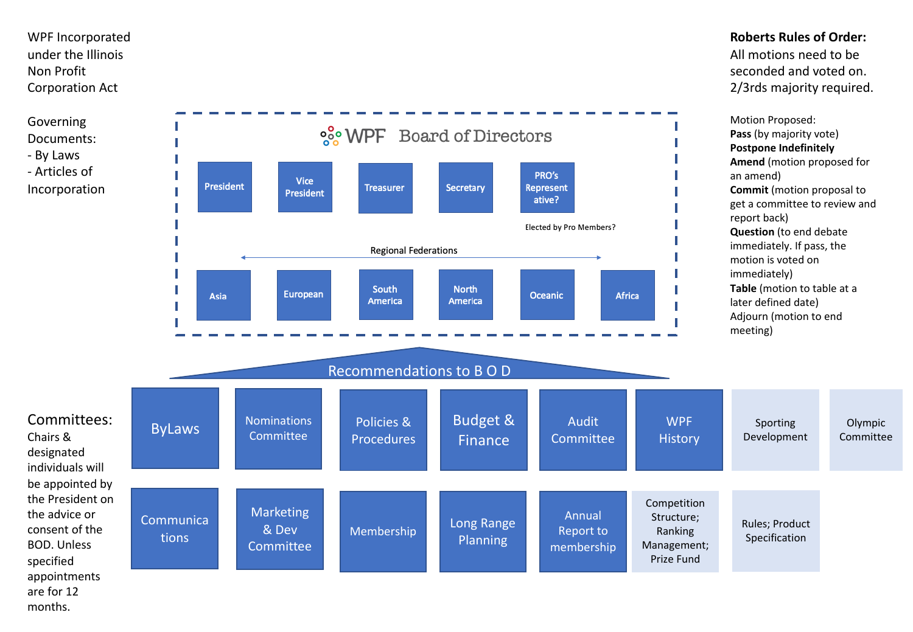WPF Incorporated under the Illinois Non Profit Corporation Act

Governing Documents: - By Laws - Articles of

Incorporation

Committees:

Chairs & designated individuals will be appointed by the President on the advice or consent of the BOD. Unless specified appointments are for 12 months.



**Roberts Rules of Order:** All motions need to be seconded and voted on. 2/3rds majority required.

**Amend** (motion proposed for **Commit** (motion proposal to get a committee to review and **Table** (motion to table at a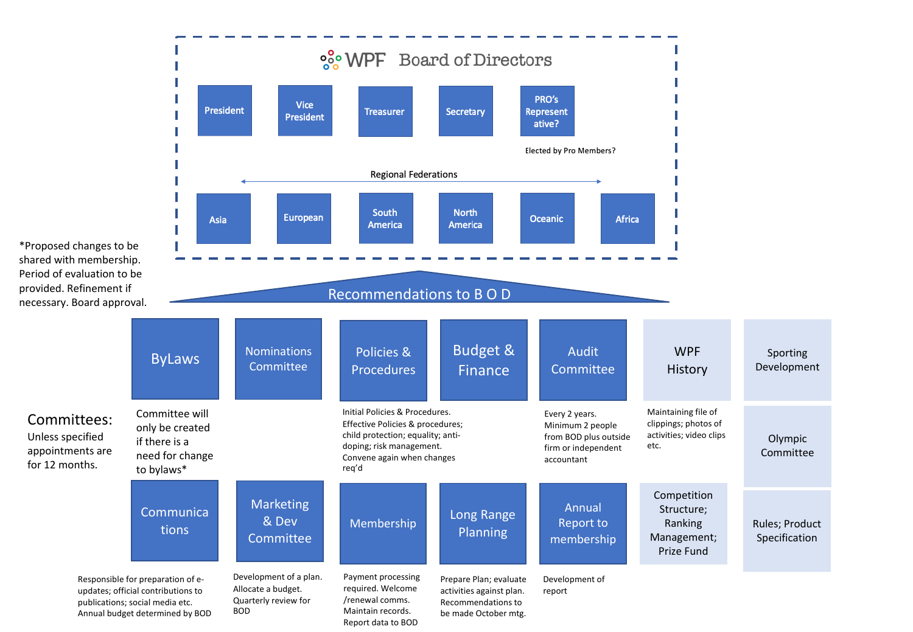